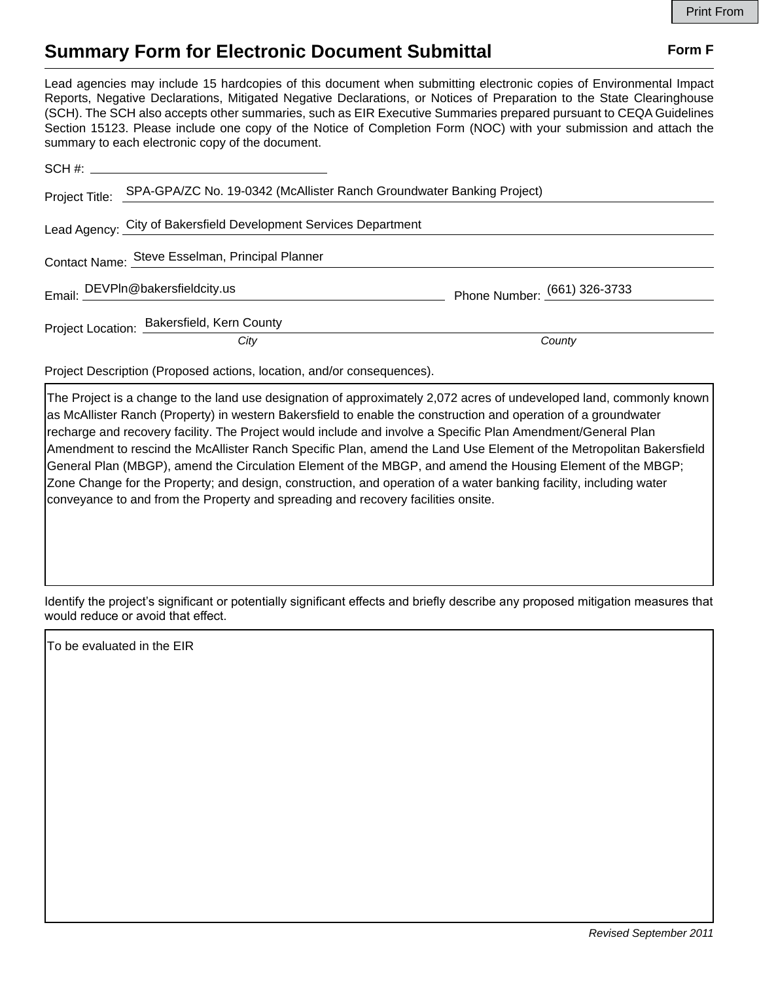## **Summary Form for Electronic Document Submittal Form F Form F**

Lead agencies may include 15 hardcopies of this document when submitting electronic copies of Environmental Impact Reports, Negative Declarations, Mitigated Negative Declarations, or Notices of Preparation to the State Clearinghouse (SCH). The SCH also accepts other summaries, such as EIR Executive Summaries prepared pursuant to CEQA Guidelines Section 15123. Please include one copy of the Notice of Completion Form (NOC) with your submission and attach the summary to each electronic copy of the document.

| Project Title: SPA-GPA/ZC No. 19-0342 (McAllister Ranch Groundwater Banking Project) |                              |
|--------------------------------------------------------------------------------------|------------------------------|
| Lead Agency: City of Bakersfield Development Services Department                     |                              |
| Contact Name: Steve Esselman, Principal Planner                                      |                              |
| Email: DEVPIn@bakersfieldcity.us                                                     | Phone Number: (661) 326-3733 |
| Project Location: Bakersfield, Kern County                                           |                              |
| City                                                                                 | County                       |

Project Description (Proposed actions, location, and/or consequences).

The Project is a change to the land use designation of approximately 2,072 acres of undeveloped land, commonly known as McAllister Ranch (Property) in western Bakersfield to enable the construction and operation of a groundwater recharge and recovery facility. The Project would include and involve a Specific Plan Amendment/General Plan Amendment to rescind the McAllister Ranch Specific Plan, amend the Land Use Element of the Metropolitan Bakersfield General Plan (MBGP), amend the Circulation Element of the MBGP, and amend the Housing Element of the MBGP; Zone Change for the Property; and design, construction, and operation of a water banking facility, including water conveyance to and from the Property and spreading and recovery facilities onsite.

Identify the project's significant or potentially significant effects and briefly describe any proposed mitigation measures that would reduce or avoid that effect.

To be evaluated in the EIR